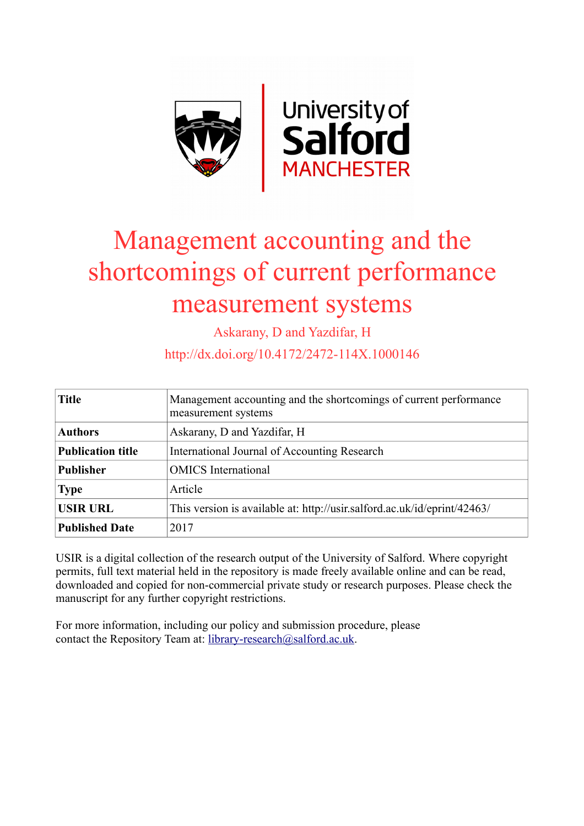

# Management accounting and the shortcomings of current performance measurement systems

Askarany, D and Yazdifar, H

http://dx.doi.org/10.4172/2472-114X.1000146

| <b>Title</b>             | Management accounting and the shortcomings of current performance<br>measurement systems |
|--------------------------|------------------------------------------------------------------------------------------|
| <b>Authors</b>           | Askarany, D and Yazdifar, H                                                              |
| <b>Publication title</b> | International Journal of Accounting Research                                             |
| <b>Publisher</b>         | <b>OMICS</b> International                                                               |
| <b>Type</b>              | Article                                                                                  |
| <b>USIR URL</b>          | This version is available at: http://usir.salford.ac.uk/id/eprint/42463/                 |
| <b>Published Date</b>    | 2017                                                                                     |

USIR is a digital collection of the research output of the University of Salford. Where copyright permits, full text material held in the repository is made freely available online and can be read, downloaded and copied for non-commercial private study or research purposes. Please check the manuscript for any further copyright restrictions.

For more information, including our policy and submission procedure, please contact the Repository Team at: [library-research@salford.ac.uk.](mailto:library-research@salford.ac.uk)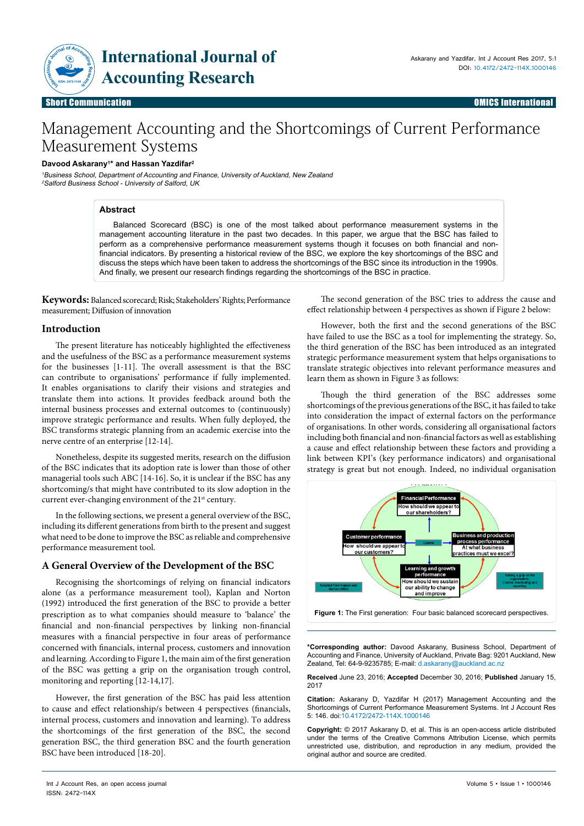

# Management Accounting and the Shortcomings of Current Performance Measurement Systems

## **Davood Askarany1 \* and Hassan Yazdifar2**

<sup>1</sup>Business School, Department of Accounting and Finance, University of Auckland, New Zealand <sup>2</sup>Salford Business School - University of Salford, UK

#### **Abstract**

Balanced Scorecard (BSC) is one of the most talked about performance measurement systems in the management accounting literature in the past two decades. In this paper, we argue that the BSC has failed to perform as a comprehensive performance measurement systems though it focuses on both financial and nonfinancial indicators. By presenting a historical review of the BSC, we explore the key shortcomings of the BSC and discuss the steps which have been taken to address the shortcomings of the BSC since its introduction in the 1990s. And finally, we present our research findings regarding the shortcomings of the BSC in practice.

**Keywords:** Balanced scorecard; Risk; Stakeholders' Rights; Performance measurement; Diffusion of innovation

#### **Introduction**

The present literature has noticeably highlighted the effectiveness and the usefulness of the BSC as a performance measurement systems for the businesses [1-11]. The overall assessment is that the BSC can contribute to organisations' performance if fully implemented. It enables organisations to clarify their visions and strategies and translate them into actions. It provides feedback around both the internal business processes and external outcomes to (continuously) improve strategic performance and results. When fully deployed, the BSC transforms strategic planning from an academic exercise into the nerve centre of an enterprise [12-14].

Nonetheless, despite its suggested merits, research on the diffusion of the BSC indicates that its adoption rate is lower than those of other managerial tools such ABC [14-16]. So, it is unclear if the BSC has any shortcoming/s that might have contributed to its slow adoption in the current ever-changing environment of the 21<sup>st</sup> century.

In the following sections, we present a general overview of the BSC, including its different generations from birth to the present and suggest what need to be done to improve the BSC as reliable and comprehensive performance measurement tool.

## **A General Overview of the Development of the BSC**

Recognising the shortcomings of relying on financial indicators alone (as a performance measurement tool), Kaplan and Norton (1992) introduced the first generation of the BSC to provide a better prescription as to what companies should measure to 'balance' the financial and non-financial perspectives by linking non-financial measures with a financial perspective in four areas of performance concerned with financials, internal process, customers and innovation and learning*.* According to Figure 1, the main aim of the first generation of the BSC was getting a grip on the organisation trough control, monitoring and reporting [12-14,17].

However, the first generation of the BSC has paid less attention to cause and effect relationship/s between 4 perspectives (financials, internal process, customers and innovation and learning). To address the shortcomings of the first generation of the BSC, the second generation BSC, the third generation BSC and the fourth generation BSC have been introduced [18-20].

However, both the first and the second generations of the BSC

have failed to use the BSC as a tool for implementing the strategy. So, the third generation of the BSC has been introduced as an integrated strategic performance measurement system that helps organisations to translate strategic objectives into relevant performance measures and learn them as shown in Figure 3 as follows:

The second generation of the BSC tries to address the cause and effect relationship between 4 perspectives as shown if Figure 2 below:

Though the third generation of the BSC addresses some shortcomings of the previous generations of the BSC, it has failed to take into consideration the impact of external factors on the performance of organisations. In other words, considering all organisational factors including both financial and non-financial factors as well as establishing a cause and effect relationship between these factors and providing a link between KPI's (key performance indicators) and organisational strategy is great but not enough. Indeed, no individual organisation



**\*Corresponding author:** Davood Askarany, Business School, Department of Accounting and Finance, University of Auckland, Private Bag: 9201 Auckland, New Zealand, Tel: 64-9-9235785; E-mail: d.askarany@auckland.ac.nz

**Received** June 23, 2016; **Accepted** December 30, 2016; **Published** January 15, 2017

**Citation:** Askarany D, Yazdifar H (2017) Management Accounting and the Shortcomings of Current Performance Measurement Systems. Int J Account Res 5: 146. doi:10.4172/2472-114X.1000146

**Copyright:** © 2017 Askarany D, et al. This is an open-access article distributed under the terms of the Creative Commons Attribution License, which permits unrestricted use, distribution, and reproduction in any medium, provided the original author and source are credited.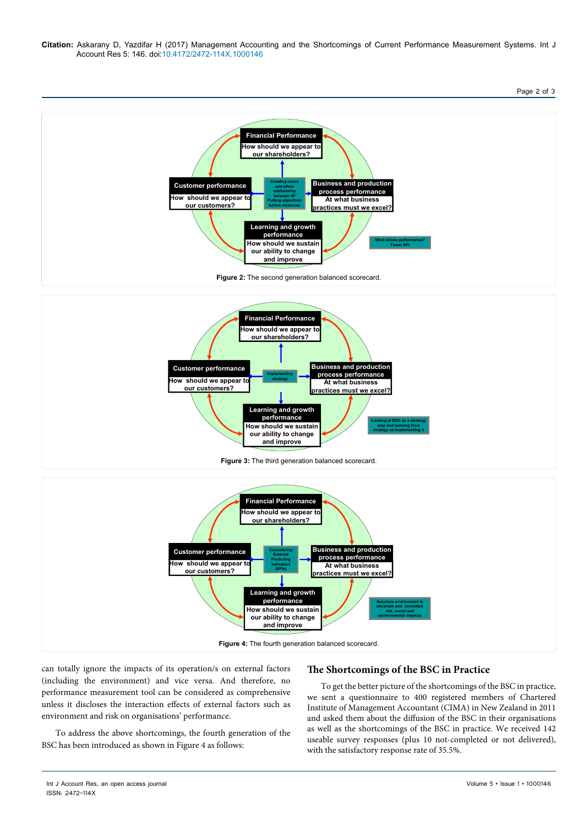**Citation:** Askarany D, Yazdifar H (2017) Management Accounting and the Shortcomings of Current Performance Measurement Systems. Int J Account Res 5: 146. doi:10.4172/2472-114X.1000146

#### Page 2 of 3





**Figure 4:** The fourth generation balanced scorecard.

**How should we sustain our ability to change and improve**

can totally ignore the impacts of its operation/s on external factors (including the environment) and vice versa. And therefore, no performance measurement tool can be considered as comprehensive unless it discloses the interaction effects of external factors such as environment and risk on organisations' performance.

To address the above shortcomings, the fourth generation of the BSC has been introduced as shown in Figure 4 as follows:

# **The Shortcomings of the BSC in Practice**

**Assumes environment is uncertain and considers risk, social and environmental impacts**

To get the better picture of the shortcomings of the BSC in practice, we sent a questionnaire to 400 registered members of Chartered Institute of Management Accountant (CIMA) in New Zealand in 2011 and asked them about the diffusion of the BSC in their organisations as well as the shortcomings of the BSC in practice. We received 142 useable survey responses (plus 10 not-completed or not delivered), with the satisfactory response rate of 35.5%.